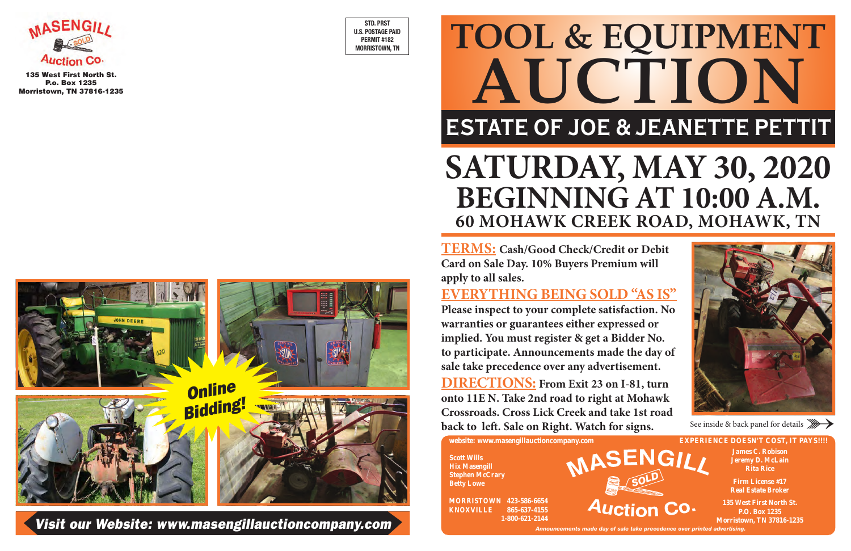**U.S. POSTAGE PAID PERMIT #182 MORRISTOWN, TN**

Saturday May 12th, 12th, 12th, 12th, 12th, 12th, 12th, 12th, 12th, 12th, 12th, 12th, 12th, 12th, 12th, 12th, 12

Saturday May 12th, 1:30 p.m.



135 West First North St. P.o. Box 1235 Morristown, TN 37816-1235

> **Gary C. Wills Scott Wills Scott Wills Hix Masengill Hix Masengill Stephen McCrary Betty Lowe**

Britain Service rooms, 1 bath, Central Heat & Carport Carporters on a basement 1075

**Online** situation slightly rolling lot.

**3RD DAY** 

 $3$  bedroom,  $2$  bath  $2$ home in the Colonies S/D, 2 car garage on nice rolling lot with **Central Heat Air Air Air Air An** 1960 Square

### **ESTATE OF JOE & JEANETTE PETTIT 5 Resident Residents** URDAI, MAI JU, **BEGINNING AT 10:00 A.M. REMAIN CREEN ROAD, MONAWN** JL & EQUILIVI AUCTION AUCTION **3** STD. PRST<br> $\overline{\phantom{a}}$ **JL & EQUIPMENT** EVENT DAY EVENT **10% Buyers Premium 1000 Premium TOOL & EQUIPMENT AUCTION SATURDAY, MAY 30, 2020 60 MOHAWK CREEK ROAD, MOHAWK, TN**

**Sale #1 Sale #2**

**website: www.masengillauctioncompany.com website: www.masengillauctioncompany.com**

Saturday May 12th, 10:30 a.m.

**Sale #3 Sale #4 Sale #4 Sale #4 Sale** #4

 $\overline{B}$  and  $\overline{B}$  pidding!

**MORRISTOWN 423-586-6654 MORRISTOWN 423-586-6654 KNOXVILLE 865-637-4155 KNOXVILLE 865-637-4155 1-800-621-2144 1-800-621-2144**

9731 E. Andrew Johnson Highway, Whitesburg , TN

**Betty Lowe Betty Lowe Betty Lowe SOLD** 

825 January 2007

1000 Square/ft Britain home with 2 car attached with 2 car attached with 2 car attached with 2 car attached with 2 car attached with  $g(x) = \infty$  $\mathbf{u} \in \mathbb{R}$ situation of the contract of the contract of the contract of the contract of the contract of the contract of the contract of the contract of the contract of the contract of the contract of the contract of the contract of t Whitesburg community and the community of the community of the community of the community of the community of the community of the community of the community of the community of the community of the community of the commun

British home on basement  $\mathcal{L}$ attached garage, Central  $H^2$  and  $H^2$ 

large level lot.

**ERMS:** Cash/Good Check/Credit or Debit<br>Card on Sale Day. 10% Buyers Premium will **TERMS: Cash/Good Check/Credit or Debit apply to all sales.**

# EVERYTHING BEING SOLD "AS IS"

*Announcements made day of sale take precedence over printed advertising. Announcements made day of sale take precedence over printed advertising.*

**James C. Robison James C. Robison Jeremy D. McLain Jeremy D. McLain Rita Rice Rita Rice**

Please inspect to your complete satisfaction. No *Please inspect to your complete satisfaction*. No *Please in the same of the same of the same of the same of the same of the same of the same of the same of the same of* implied. You must register & get a Bidder No. **12th - at 10:30 a.** sale take precedence over any advertisement. **warranties or guarantees either expressed or to participate. Announcements made the day of** 

> **Firm License #17 Firm License #17 Real Estate Broker Real Estate Broker**

**135 West First North St. 135 West First North St. P.O. Box 1235 P.O. Box 1235 Morristown, TN 37816-1235 Morristown, TN 37816-1235**

1219 Carmichael Street, Morristown, TN

389 Hayter Street, Morristown, The Street, Street, Street, Street, Street, Street, Street, Street, Street, Str

**EXPERIENCE DOESN'T COST, IT PAYS!!!! EXPERIENCE DOESN'T COST, IT PAYS!!!!**

**DIRECTIONS:** From Exit 23 on I-81, turn **Every 11 E.M.** Take 2nd wood to wicht at Mohamburg and the same is not warranties in the same of the same of the same of the same of the same of the same of the same of the same of the same of the same of the same of the onto 11E N. Take 2nd road to right at Mohawk **Canadian Announce-Announce-Announce-Announce-Announce-Announce-Announce-Announce-Announce-Announce-Announce-Announce-Announce-Announce-Announce-Announce-Announce-Announce-Annou Crossroads. Cross Lick Creek and take 1st road**  $\,$ **back to left. Sale on Right. Watch for signs.**

**Visit our Website: www.masengillauctioncompany.com** *Visit our Website: www.masengillauctioncompany.com*





See inside & back panel for details See inside & back panel for details <sup>→→</sup>